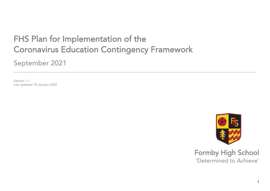# FHS Plan for Implementation of the Februaries Francisco Contingency Coronavirus Education Contingency Framework

\_\_\_\_\_\_\_\_\_\_\_\_\_\_\_\_\_\_\_\_\_\_\_\_\_\_\_\_\_\_\_\_\_\_\_\_\_\_\_\_\_\_\_\_\_\_\_\_\_\_\_\_\_\_\_\_\_\_\_\_\_\_\_\_\_\_\_\_\_\_\_\_\_\_\_\_\_\_\_\_\_\_\_\_\_\_\_\_\_\_\_\_\_\_\_\_\_\_\_\_\_\_\_\_\_\_\_\_

September 2021

Version 1.1 Last undate  $\mathcal{L}$ 



Formby High School<br>
'Determined to Achieve' 'Determined to Achieve'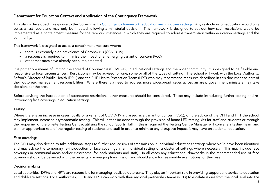## $\mathbf{C}$  between  $\mathbf{C}$  and  $\mathbf{C}$  and  $\mathbf{C}$   $\mathbf{C}$   $\mathbf{C}$   $\mathbf{C}$   $\mathbf{C}$   $\mathbf{C}$   $\mathbf{C}$   $\mathbf{C}$   $\mathbf{C}$   $\mathbf{C}$   $\mathbf{C}$   $\mathbf{C}$   $\mathbf{C}$   $\mathbf{C}$   $\mathbf{C}$   $\mathbf{C}$   $\mathbf{C}$   $\mathbf{C}$   $\mathbf{C}$   $\mathbf{C}$

This plan is developed in response to the Government's **Contingency framework: education and childcare settings**. Any restrictions on education would only<br>be as a last resort and may only be initiated following a ministeri implemented as a containment measure for the rare circumstances in which they are required to address transmission within education settings and the implemented as a containment measure for the rare circumstances in which they are required to address transmission settings and they are required to address transmission settings and they are required to a disc or the requ community.

- This framework is designed to act as a containment measure where: there is extremely high prevalence of Coronavirus (COVID-19)
	- a response is required to minimise the impact of an emerging variant of concern (VoC)
	- other measures have already been implemented

It is primarily a means of limiting the spread of Coronavirus (COVID-19) in educational settings and the wider community. It is designed to be flexible and<br>responsive to local circumstances. Restrictions may be advised for Sefton's Director of Public Health (DPH) and the PHE Health Protection Team (HPT) who may recommend measures described in this document as part of their outbreak management responsibilities. Where there is a need to address more widespread issues across an area, government ministers may take the international management responsibilities. Where the address more widespread issues and area, government ministers may take decisions for the area.

Before advising the introduction of attendance restrictions, other measures should be considered. These may include introducing further testing and reintroducing face coverings in education settings. introducing face coverings in education settings.

#### **Testing** Testing

Where there is an increase in cases locally or a variant of COVID-19 is classed as a variant of concern (VoC), on the advice of the DPH and HPT the school may implement increased asymptomatic testing. This will either be d the reopening of the on-site Testing Centre, utilising the school Sports Hall. If this is required the Testing Centre Manager will convene a testing team and plan an appropriate rota of the regular testing of students and staff in order to minimise any disruptive impact it may have on students' education. plan an appropriate rota of the regular testing of students and staff in order to minimise any disruptive impact it may have on students' education.

### Face coverings Face coverings

The DPH may also decide to take additional steps to further reduce risks of transmission in individual educations settings where VoCs have been identified<br>and may advise the temporary re-introduction of face coverings in a coverings in communal areas and/or classrooms (for both students and staff). In all cases any educational drawbacks in the recommended use of face coverings in communal areas and/or classrooms (for both students and star). In all cases any educational drambacks in the recommended use of face<br>Coverings should be belenged with the benefits in meneging trensmission and coverings should be balanced with the benefits in managing transmission and should allow for reasonable exemptions for their use.

### **Decision making** Decision making

Local authorities, DPHs and HPTs are responsible for managing localised outbreaks. They play an important role in providing support and advice to education and children children children settings. Det the metallicare settings can partnership teams (RPTs) to escalate issues from the level into the local level issues from the local level into the local level into the local leve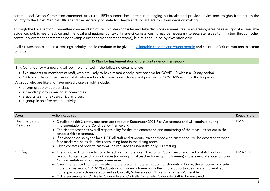central Local Action Committee command structure. RPTs support local areas in managing outbreaks and provide advice and insights from across the country to the Chief Medical Officer and the Secretary of State for Health an country to the Chief Medical Officer and Secretary of Secretary of State for Health and Social Care to information making. Social Care to inform decision making. Social Care to inform decision making. The care to inform de

Through the Local Action Committee command structure, ministers consider and take decisions on measures on an area-by-area basis in light of all available<br>evidence, public health advice and the local and national context. evidence, public health and the local and the local and the local and the local and the local and the local and  $\sigma$ central government committees (for example incident management management teams), but this should be by except<br>), but this should be by exception on lying be by exception on lying be by exception on lying by exception only

In all circumstances, and in all settings, priority should continue to be given to [vulnerable children and young people](https://www.gov.uk/government/publications/coronavirus-covid-19-maintaining-educational-provision/guidance-for-schools-colleges-and-local-authorities-on-maintaining-educational-provision) and children of critical workers to attend<br>full time.

FHS Plan for Implementation of the Contingency Framework<br>This Contingency Framework will be implemented in the following circumstances:

- Five students or members of staff, who are likely to have mixed closely, test positive for COVID-19 within a 10-day period<br>• 10% of students / members of staff who are likely to have mixed closely test positive for COVID-1
- 10% of students / members of staff who are likely to have mixed closely test positive for COVID-19 within a 10-day period A group who are likely to have mixed closely might include:

- $\bullet$  a form group or subject class<br>  $\bullet$  a friendship group mixing at breaktimes
- a friendship group mixing at breaktimes
- a sports team or extra-curricular group
- a group in an after-school activity

| Area                               | <b>Action Required</b>                                                                                                                                                                                                                                                                                                                                                                                                                                                                                                                                                                                                                                                                                                                             | Responsible |
|------------------------------------|----------------------------------------------------------------------------------------------------------------------------------------------------------------------------------------------------------------------------------------------------------------------------------------------------------------------------------------------------------------------------------------------------------------------------------------------------------------------------------------------------------------------------------------------------------------------------------------------------------------------------------------------------------------------------------------------------------------------------------------------------|-------------|
| Health & Safety<br><b>Measures</b> | • Detailed health & safety measures are set out in September 2021 Risk Assessment and will continue during<br>implementation of the Contingency Framework.<br>• The Headteacher has overall responsibility for the implementation and monitoring of the measures set out in the<br>school's risk assessment.<br>• If advised to do so by the local HPT, all staff and students (except those with exemption) will be expected to wear<br>face masks whilst inside unless consuming food in the dining room.<br>• Close contacts of positive cases will be required to undertake daily LFD testing.                                                                                                                                                 | <b>DMA</b>  |
| Staffing                           | • The school will continue to consider advice from the local Director of Public Health and the Local Authority in<br>relation to staff attending workplaces (including initial teacher training (ITT) trainees) in the event of a local outbreak<br>/ implementation of contingency measures.<br>• Given the reduced numbers on site and the use of remote education for students at home, the school will consider<br>if the Coronavirus (COVID-19) education contingency framework offers more opportunities for staff to work at<br>home, particularly those categorised as Clinically Vulnerable or Clinically Extremely Vulnerable.<br>• Risk assessments for Clinically Vulnerable and Clinically Extremely Vulnerable staff to be reviewed. | DMA / HR    |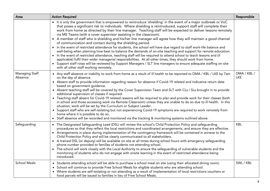| Area                             | <b>Action Required</b>                                                                                                                                                                                                                                                                                                                                                                                                                                                                                                                                                                                                                                                                                                                                                                                                                                                                                                                                                                                                                                                                                                                                                                                                                                    | Responsible               |
|----------------------------------|-----------------------------------------------------------------------------------------------------------------------------------------------------------------------------------------------------------------------------------------------------------------------------------------------------------------------------------------------------------------------------------------------------------------------------------------------------------------------------------------------------------------------------------------------------------------------------------------------------------------------------------------------------------------------------------------------------------------------------------------------------------------------------------------------------------------------------------------------------------------------------------------------------------------------------------------------------------------------------------------------------------------------------------------------------------------------------------------------------------------------------------------------------------------------------------------------------------------------------------------------------------|---------------------------|
|                                  | • It is only the government that is empowered to reintroduce 'shielding' in the event of a major outbreak or VoC<br>that poses a significant risk to individuals. Where shielding is reintroduced, support staff will complete their<br>work from home as directed by their line manager. Teaching staff will be expected to deliver lessons remotely<br>via MS Teams (with a cover supervisor assisting in the classroom).<br>• A member of staff who is shielding and his/her line manager will agree how they will maintain a good channel<br>of communication and contact during the shielding period.<br>• In the event of restricted attendance for students, the school will have due regard to staff work-life balance and<br>well-being when planning how best to balance the demands of on-site teaching and support for remote education.<br>• In the event of restricted attendance, teaching staff will be required to attend school to teach lessons and (if<br>applicable) fulfil their wider managerial responsibilities. At all other times, they should work from home.<br>• Support staff rotas will be reviewed by Support Managers / SLT line managers to ensure adequate staffing on site<br>with all other staff working remotely. |                           |
| <b>Managing Staff</b><br>Absence | • Any staff absence or inability to work from home as a result of ill health to be reported to DMA / KBL / LKE by 7am<br>on the day of absence.<br>• Absent staff to provide information regarding reason for absence if Covid-19 related and indicative return date<br>based on government guidance.<br>• Absent teaching staff will be covered by the Cover Supervision Team and SLT with CLs / SLs brought in to provide<br>additional supervision of classes if required.<br>• Teaching staff absent for Covid-19 related reasons will be required to plan and provide work for their classes (both<br>in school and those accessing work via Remote Classroom) unless they are unable to do so due to ill health. In this<br>situation, work will be set by the Curriculum or Subject Leader.<br>• Support staff who are self-isolating but not experiencing Covid-19 symptoms are required to work remotely from<br>home where it is possible to do so.<br>• Staff absence will be recorded and monitored via the tracking & monitoring systems outlined above.                                                                                                                                                                                     | DMA / KBL /<br><b>LKE</b> |
| Safeguarding                     | • The Designated Safeguarding Lead (DSL) will review the school's Child Protection Policy and safeguarding<br>procedures so that they reflect the local restrictions and coordinated arrangements, and ensure they are effective.<br>• Arrangements in place during implementation of the contingency framework will be contained in annexe to the<br>Child Protection Policy and will be clearly communicated to all stakeholders.<br>• A trained DSL (or deputy) will be available on site at all times during school hours with emergency safeguarding<br>phone number provided to families of students not attending school.<br>• The school will work closely with the Local Authority to ensure the safeguarding of vulnerable students and the<br>monitoring of students who do not engage with onsite learning in the event of restricted attendance being<br>introduced.                                                                                                                                                                                                                                                                                                                                                                         | <b>KBL</b>                |
| <b>School Meals</b>              | • Students attending school will be able to purchase a school meal on site (using their allocated dining room).<br>• School will continue to provide Free School Meals for eligible students who are attending school.<br>• Where students are self-isolating or not attending as a result of implementation of local restrictions vouchers or<br>food parcels will be issued to families in lieu of Free School Meals.                                                                                                                                                                                                                                                                                                                                                                                                                                                                                                                                                                                                                                                                                                                                                                                                                                   | SWL / KBL                 |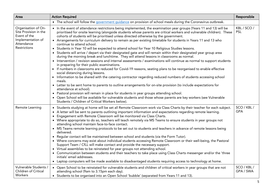| Area                                                                                                                   | <b>Action Required</b>                                                                                                                                                                                                                                                                                                                                                                                                                                                                                                                                                                                                                                                                                                                                                                                                                                                                                                                                                                                                                                                                                                                                                                                                                                                                                                                                                                                                                                                                                                                                                                                                                                                              | Responsible               |
|------------------------------------------------------------------------------------------------------------------------|-------------------------------------------------------------------------------------------------------------------------------------------------------------------------------------------------------------------------------------------------------------------------------------------------------------------------------------------------------------------------------------------------------------------------------------------------------------------------------------------------------------------------------------------------------------------------------------------------------------------------------------------------------------------------------------------------------------------------------------------------------------------------------------------------------------------------------------------------------------------------------------------------------------------------------------------------------------------------------------------------------------------------------------------------------------------------------------------------------------------------------------------------------------------------------------------------------------------------------------------------------------------------------------------------------------------------------------------------------------------------------------------------------------------------------------------------------------------------------------------------------------------------------------------------------------------------------------------------------------------------------------------------------------------------------------|---------------------------|
|                                                                                                                        | • The school will follow the government guidance on provision of school meals during the Coronavirus outbreak.                                                                                                                                                                                                                                                                                                                                                                                                                                                                                                                                                                                                                                                                                                                                                                                                                                                                                                                                                                                                                                                                                                                                                                                                                                                                                                                                                                                                                                                                                                                                                                      |                           |
| Organisation of On-<br>Site Provision in the<br>Event of the<br>Implementation of<br>Attendance<br><b>Restrictions</b> | • In the event of attendance restrictions being implemented, the examination year groups (Years 11 and 13) will be<br>prioritised for onsite learning (alongside students whose parents are critical workers and vulnerable children). These<br>cohorts of students will be prioritised unless directed otherwise by the government.<br>• Arrangements for curriculum delivery to remain as per existing timetable for students in Years 11 and 13 who<br>continue to attend school.<br>• Students in Year 10 will be expected to attend school for Year 10 Religious Studies lessons.<br>• Students will arrive / depart via their designated gate and will remain within their designated year group area<br>during the morning break and lunchtime. They will attend lessons in classrooms as normal.<br>• Intervention / revision sessions and internal assessments / examinations will continue as normal to support students<br>in preparing for their public examinations.<br>• If numbers in classrooms are reduced for Covid-19 reasons, seating plans to be reorganised to enable effective<br>social distancing during lessons.<br>• Information to be shared with the catering contractor regarding reduced numbers of students accessing school<br>meals.<br>• Letter to be sent home to parents to outline arrangements for on-site provision (to include expectations for<br>attendance at school).<br>• Pastoral provision will remain in place for students in year groups attending school.<br>• Open School will be available for vulnerable students and those whose parents are key workers (see Vulnerable<br>Students / Children of Critical Workers below). | KBL / SCO /<br><b>PSL</b> |
| Remote Learning                                                                                                        | • Students studying at home will be set all Remote Classroom work via Class Charts by their teacher for each subject.<br>• A letter will be sent to parents outlining important information and expectations regarding remote learning.<br>• Engagement with Remote Classroom will be monitored via Class Charts.<br>• Where appropriate to do so, teachers will teach remotely via MS Teams to ensure students in year groups not<br>attending school maintain face-to-face contact.<br>• MS Teams remote learning protocols to be set out to students and teachers in advance of remote lessons being<br>delivered.<br>• Regular contact will be maintained between school and students (via the Form Tutor).<br>• Where concerns may exist about individual students accessing Remote Classroom or their well-being, the Pastoral<br>Support Team / CfLL will make contact and provide the necessary support.<br>• Virtual assemblies to be reinstated for year groups not attending school.<br>• Communication between students and their teachers to take place using Class Charts messenger and/or the 'three<br>initials' email addresses.<br>• Laptop computers will be made available to disadvantaged students requiring access to technology at home.                                                                                                                                                                                                                                                                                                                                                                                                                    | SCO / KBL /<br><b>GPA</b> |
| Vulnerable Students /<br>Children of Critical<br><b>Workers</b>                                                        | • Open School to be reinstated for vulnerable students and children of critical workers in year groups that are not<br>attending school (9am to 3.15pm each day).<br>• Students to be organised into an Open School 'bubble' (separated from Years 11 and 13).                                                                                                                                                                                                                                                                                                                                                                                                                                                                                                                                                                                                                                                                                                                                                                                                                                                                                                                                                                                                                                                                                                                                                                                                                                                                                                                                                                                                                      | SCO / KBL /<br>GPA / SWA  |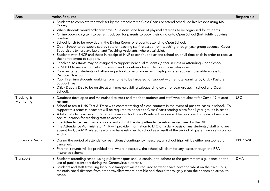| Area                      | <b>Action Required</b>                                                                                                                                                                                                                                                                                                                                                                                                                                                                                                                                                                                                                                                                                                                                                                                                                                                                                                                                                                                                                                                                                                                                                                                                                                                                                                                                                                                                                                    | Responsible |
|---------------------------|-----------------------------------------------------------------------------------------------------------------------------------------------------------------------------------------------------------------------------------------------------------------------------------------------------------------------------------------------------------------------------------------------------------------------------------------------------------------------------------------------------------------------------------------------------------------------------------------------------------------------------------------------------------------------------------------------------------------------------------------------------------------------------------------------------------------------------------------------------------------------------------------------------------------------------------------------------------------------------------------------------------------------------------------------------------------------------------------------------------------------------------------------------------------------------------------------------------------------------------------------------------------------------------------------------------------------------------------------------------------------------------------------------------------------------------------------------------|-------------|
|                           | • Students to complete the work set by their teachers via Class Charts or attend scheduled live lessons using MS<br>Teams.<br>• When students would ordinarily have PE lessons, one hour of physical activities to be organised for students.<br>• Online booking system to be reintroduced for parents to book their child onto Open School (fortnightly booking<br>window).<br>• School lunch to be provided in the Dining Room for students attending Open School.<br>• Open School to be supervised by rota of teaching staff released from teaching through year group absence, Cover<br>Supervisors (where available) and Teaching Assistants (where available).<br>• Students with EHCP and those in receipt of HNF to continue to attend school on a full-time basis in order to receive<br>their entitlement to support.<br>• Teaching Assistants may be assigned to support individual students (either in class or attending Open School).<br>• SENDCO to review curriculum provision and its delivery for students in these categories.<br>• Disadvantaged students not attending school to be provided with laptop where required to enable access to<br>Remote Classroom.<br>• Pupil Premium students working from home to be targeted for support with remote learning (by CfLL / Pastoral<br>Support Team).<br>• DSL / Deputy DSL to be on site at all times (providing safeguarding cover for year groups in school and Open<br>School). |             |
| Tracking &<br>Monitoring  | • Database developed and maintained to track and monitor students and staff who are absent for Covid-19 related<br>reasons.<br>• School to assist NHS Test & Trace with contact tracing of close contacts in the event of positive cases in school. To<br>support this process, teachers will be required to adhere to Class Charts seating plans for all year groups in school.<br>• A list of students accessing Remote Classroom for Covid-19 related reasons will be published on a daily basis in a<br>secure location for teaching staff to access.<br>• The Attendance Team will complete and submit the daily attendance return as required by the DfE.<br>• The Attendance Administrator / HR will provide information to LFO on a daily basis of any students / staff who are<br>absent for Covid-19 related reasons or have returned to school as a result of the period of quarantine / self-isolation<br>ending.                                                                                                                                                                                                                                                                                                                                                                                                                                                                                                                             | <b>LFO</b>  |
| <b>Educational Visits</b> | • During the period of attendance restrictions / contingency measures, all school trips will be either postponed or<br>cancelled.<br>• Parental refunds will be provided and, where necessary, the school will claim for any losses through the RPA<br>insurance scheme.                                                                                                                                                                                                                                                                                                                                                                                                                                                                                                                                                                                                                                                                                                                                                                                                                                                                                                                                                                                                                                                                                                                                                                                  | KBL / SWL   |
| Transport                 | • Students attending school using public transport should continue to adhere to the government's guidance on the<br>use of public transport during the Coronavirus outbreak.<br>• Students and staff travelling by public transport will be required to wear a face covering whilst on the train / bus,<br>maintain social distance from other travellers where possible and should thoroughly clean their hands on arrival to<br>school.                                                                                                                                                                                                                                                                                                                                                                                                                                                                                                                                                                                                                                                                                                                                                                                                                                                                                                                                                                                                                 | <b>DMA</b>  |